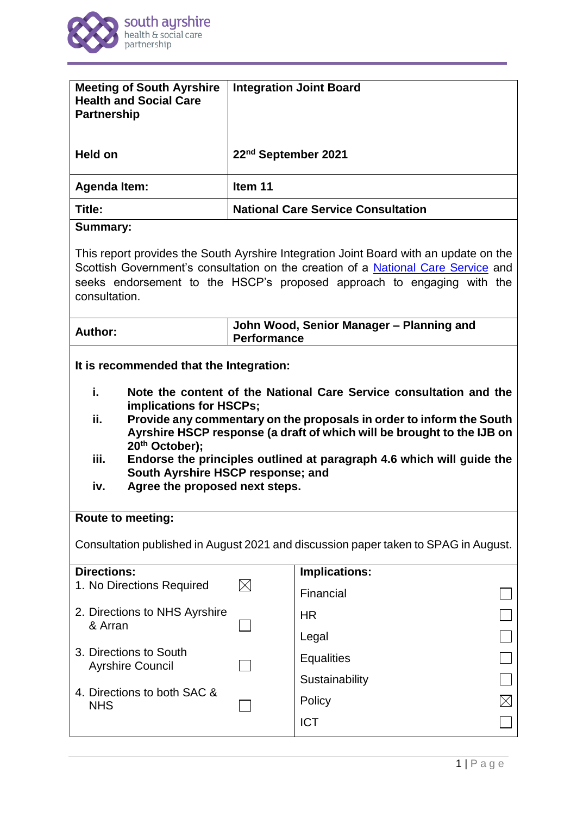

| <b>Meeting of South Ayrshire</b><br><b>Health and Social Care</b><br><b>Partnership</b>                                                                                                                                                                                                                                                                                                                                                                                                  |                                                         | <b>Integration Joint Board</b> |  |
|------------------------------------------------------------------------------------------------------------------------------------------------------------------------------------------------------------------------------------------------------------------------------------------------------------------------------------------------------------------------------------------------------------------------------------------------------------------------------------------|---------------------------------------------------------|--------------------------------|--|
| <b>Held on</b>                                                                                                                                                                                                                                                                                                                                                                                                                                                                           | 22 <sup>nd</sup> September 2021                         |                                |  |
| <b>Agenda Item:</b>                                                                                                                                                                                                                                                                                                                                                                                                                                                                      | Item 11                                                 |                                |  |
| Title:                                                                                                                                                                                                                                                                                                                                                                                                                                                                                   | <b>National Care Service Consultation</b>               |                                |  |
| <b>Summary:</b>                                                                                                                                                                                                                                                                                                                                                                                                                                                                          |                                                         |                                |  |
| This report provides the South Ayrshire Integration Joint Board with an update on the<br>Scottish Government's consultation on the creation of a National Care Service and<br>seeks endorsement to the HSCP's proposed approach to engaging with the<br>consultation.                                                                                                                                                                                                                    |                                                         |                                |  |
| <b>Author:</b>                                                                                                                                                                                                                                                                                                                                                                                                                                                                           | John Wood, Senior Manager - Planning and<br>Performance |                                |  |
| It is recommended that the Integration:<br>i.<br>Note the content of the National Care Service consultation and the<br>implications for HSCPs;<br>ii.<br>Provide any commentary on the proposals in order to inform the South<br>Ayrshire HSCP response (a draft of which will be brought to the IJB on<br>20th October);<br>iii.<br>Endorse the principles outlined at paragraph 4.6 which will guide the<br>South Ayrshire HSCP response; and<br>Agree the proposed next steps.<br>iv. |                                                         |                                |  |
| <b>Route to meeting:</b>                                                                                                                                                                                                                                                                                                                                                                                                                                                                 |                                                         |                                |  |
| Consultation published in August 2021 and discussion paper taken to SPAG in August.                                                                                                                                                                                                                                                                                                                                                                                                      |                                                         |                                |  |
| <b>Directions:</b><br>1. No Directions Required                                                                                                                                                                                                                                                                                                                                                                                                                                          | $\boxtimes$                                             | Implications:                  |  |
| 2. Directions to NHS Ayrshire<br>& Arran                                                                                                                                                                                                                                                                                                                                                                                                                                                 |                                                         | Financial<br><b>HR</b>         |  |
|                                                                                                                                                                                                                                                                                                                                                                                                                                                                                          |                                                         | Legal                          |  |
| 3. Directions to South                                                                                                                                                                                                                                                                                                                                                                                                                                                                   |                                                         | <b>Equalities</b>              |  |
| <b>Ayrshire Council</b>                                                                                                                                                                                                                                                                                                                                                                                                                                                                  |                                                         | Sustainability                 |  |
| 4. Directions to both SAC &<br><b>NHS</b>                                                                                                                                                                                                                                                                                                                                                                                                                                                |                                                         | Policy                         |  |
|                                                                                                                                                                                                                                                                                                                                                                                                                                                                                          |                                                         | <b>ICT</b>                     |  |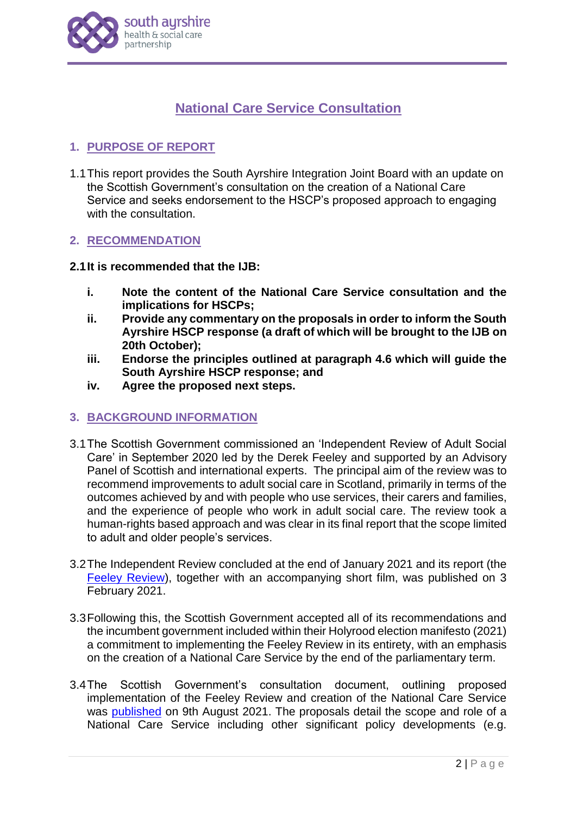

# **National Care Service Consultation**

## **1. PURPOSE OF REPORT**

1.1This report provides the South Ayrshire Integration Joint Board with an update on the Scottish Government's consultation on the creation of a National Care Service and seeks endorsement to the HSCP's proposed approach to engaging with the consultation.

## **2. RECOMMENDATION**

#### **2.1It is recommended that the IJB:**

- **i. Note the content of the National Care Service consultation and the implications for HSCPs;**
- **ii. Provide any commentary on the proposals in order to inform the South Ayrshire HSCP response (a draft of which will be brought to the IJB on 20th October);**
- **iii. Endorse the principles outlined at paragraph 4.6 which will guide the South Ayrshire HSCP response; and**
- **iv. Agree the proposed next steps.**

## **3. BACKGROUND INFORMATION**

- 3.1The Scottish Government commissioned an 'Independent Review of Adult Social Care' in September 2020 led by the Derek Feeley and supported by an Advisory Panel of Scottish and international experts. The principal aim of the review was to recommend improvements to adult social care in Scotland, primarily in terms of the outcomes achieved by and with people who use services, their carers and families, and the experience of people who work in adult social care. The review took a human-rights based approach and was clear in its final report that the scope limited to adult and older people's services.
- 3.2The Independent Review concluded at the end of January 2021 and its report (the [Feeley Review\)](https://www.gov.scot/groups/independent-review-of-adult-social-care/), together with an accompanying short film, was published on 3 February 2021.
- 3.3Following this, the Scottish Government accepted all of its recommendations and the incumbent government included within their Holyrood election manifesto (2021) a commitment to implementing the Feeley Review in its entirety, with an emphasis on the creation of a National Care Service by the end of the parliamentary term.
- 3.4The Scottish Government's consultation document, outlining proposed implementation of the Feeley Review and creation of the National Care Service was [published](https://www.gov.scot/publications/national-care-service-scotland-consultation/documents/) on 9th August 2021. The proposals detail the scope and role of a National Care Service including other significant policy developments (e.g.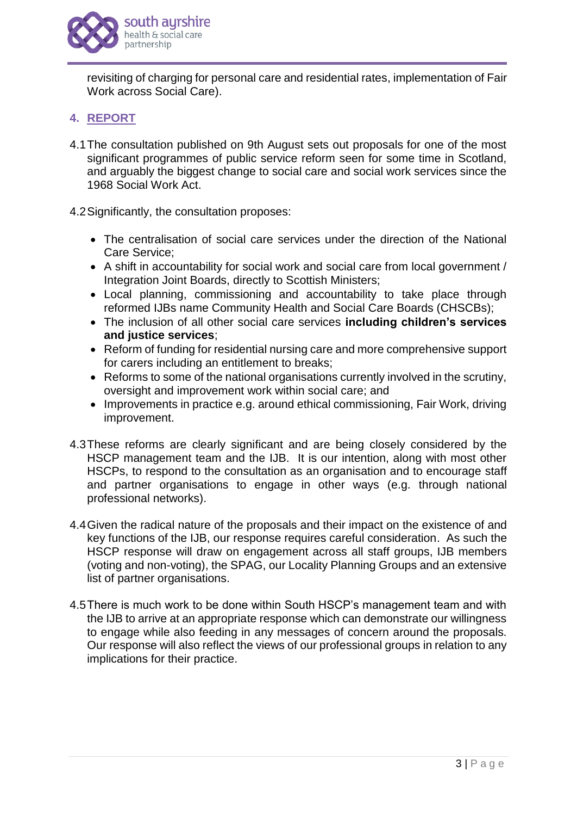

revisiting of charging for personal care and residential rates, implementation of Fair Work across Social Care).

# **4. REPORT**

- 4.1The consultation published on 9th August sets out proposals for one of the most significant programmes of public service reform seen for some time in Scotland, and arguably the biggest change to social care and social work services since the 1968 Social Work Act.
- 4.2Significantly, the consultation proposes:
	- The centralisation of social care services under the direction of the National Care Service;
	- A shift in accountability for social work and social care from local government / Integration Joint Boards, directly to Scottish Ministers;
	- Local planning, commissioning and accountability to take place through reformed IJBs name Community Health and Social Care Boards (CHSCBs);
	- The inclusion of all other social care services **including children's services and justice services**;
	- Reform of funding for residential nursing care and more comprehensive support for carers including an entitlement to breaks;
	- Reforms to some of the national organisations currently involved in the scrutiny, oversight and improvement work within social care; and
	- Improvements in practice e.g. around ethical commissioning, Fair Work, driving improvement.
- 4.3These reforms are clearly significant and are being closely considered by the HSCP management team and the IJB. It is our intention, along with most other HSCPs, to respond to the consultation as an organisation and to encourage staff and partner organisations to engage in other ways (e.g. through national professional networks).
- 4.4Given the radical nature of the proposals and their impact on the existence of and key functions of the IJB, our response requires careful consideration. As such the HSCP response will draw on engagement across all staff groups, IJB members (voting and non-voting), the SPAG, our Locality Planning Groups and an extensive list of partner organisations.
- 4.5There is much work to be done within South HSCP's management team and with the IJB to arrive at an appropriate response which can demonstrate our willingness to engage while also feeding in any messages of concern around the proposals. Our response will also reflect the views of our professional groups in relation to any implications for their practice.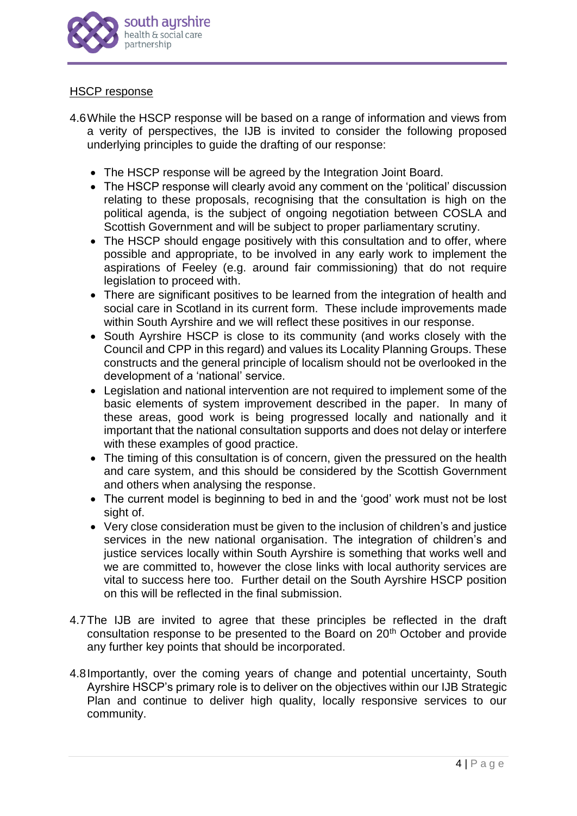

#### HSCP response

- 4.6While the HSCP response will be based on a range of information and views from a verity of perspectives, the IJB is invited to consider the following proposed underlying principles to guide the drafting of our response:
	- The HSCP response will be agreed by the Integration Joint Board.
	- The HSCP response will clearly avoid any comment on the 'political' discussion relating to these proposals, recognising that the consultation is high on the political agenda, is the subject of ongoing negotiation between COSLA and Scottish Government and will be subject to proper parliamentary scrutiny.
	- The HSCP should engage positively with this consultation and to offer, where possible and appropriate, to be involved in any early work to implement the aspirations of Feeley (e.g. around fair commissioning) that do not require legislation to proceed with.
	- There are significant positives to be learned from the integration of health and social care in Scotland in its current form. These include improvements made within South Ayrshire and we will reflect these positives in our response.
	- South Ayrshire HSCP is close to its community (and works closely with the Council and CPP in this regard) and values its Locality Planning Groups. These constructs and the general principle of localism should not be overlooked in the development of a 'national' service.
	- Legislation and national intervention are not required to implement some of the basic elements of system improvement described in the paper. In many of these areas, good work is being progressed locally and nationally and it important that the national consultation supports and does not delay or interfere with these examples of good practice.
	- The timing of this consultation is of concern, given the pressured on the health and care system, and this should be considered by the Scottish Government and others when analysing the response.
	- The current model is beginning to bed in and the 'good' work must not be lost sight of.
	- Very close consideration must be given to the inclusion of children's and justice services in the new national organisation. The integration of children's and justice services locally within South Ayrshire is something that works well and we are committed to, however the close links with local authority services are vital to success here too. Further detail on the South Ayrshire HSCP position on this will be reflected in the final submission.
- 4.7The IJB are invited to agree that these principles be reflected in the draft consultation response to be presented to the Board on 20<sup>th</sup> October and provide any further key points that should be incorporated.
- 4.8Importantly, over the coming years of change and potential uncertainty, South Ayrshire HSCP's primary role is to deliver on the objectives within our IJB Strategic Plan and continue to deliver high quality, locally responsive services to our community.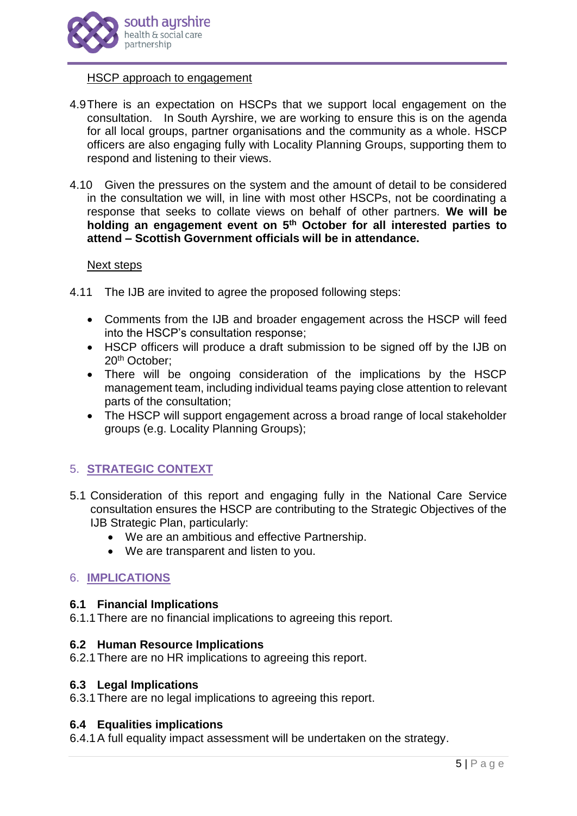

## HSCP approach to engagement

- 4.9There is an expectation on HSCPs that we support local engagement on the consultation. In South Ayrshire, we are working to ensure this is on the agenda for all local groups, partner organisations and the community as a whole. HSCP officers are also engaging fully with Locality Planning Groups, supporting them to respond and listening to their views.
- 4.10 Given the pressures on the system and the amount of detail to be considered in the consultation we will, in line with most other HSCPs, not be coordinating a response that seeks to collate views on behalf of other partners. **We will be holding an engagement event on 5 th October for all interested parties to attend – Scottish Government officials will be in attendance.**

#### Next steps

- 4.11 The IJB are invited to agree the proposed following steps:
	- Comments from the IJB and broader engagement across the HSCP will feed into the HSCP's consultation response;
	- HSCP officers will produce a draft submission to be signed off by the IJB on 20th October;
	- There will be ongoing consideration of the implications by the HSCP management team, including individual teams paying close attention to relevant parts of the consultation;
	- The HSCP will support engagement across a broad range of local stakeholder groups (e.g. Locality Planning Groups);

# 5. **STRATEGIC CONTEXT**

- 5.1 Consideration of this report and engaging fully in the National Care Service consultation ensures the HSCP are contributing to the Strategic Objectives of the IJB Strategic Plan, particularly:
	- We are an ambitious and effective Partnership.
	- We are transparent and listen to you.

## 6. **IMPLICATIONS**

## **6.1 Financial Implications**

6.1.1There are no financial implications to agreeing this report.

## **6.2 Human Resource Implications**

6.2.1There are no HR implications to agreeing this report.

#### **6.3 Legal Implications**

6.3.1There are no legal implications to agreeing this report.

## **6.4 Equalities implications**

6.4.1A full equality impact assessment will be undertaken on the strategy.